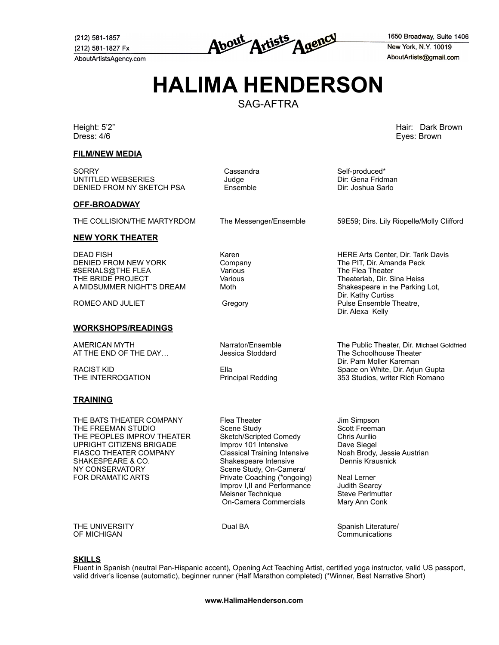(212) 581-1857 (212) 581-1827 Fx AboutArtistsAgency.com

About Artists Agency

1650 Broadway, Suite 1406 New York, N.Y. 10019 AboutArtists@gmail.com

# **HALIMA HENDERSON**

SAG-AFTRA

Dress: 4/6Eyes: Brown

**FILM/NEW MEDIA**

SORRY Cassandra Self-produced\* UNTITLED WEBSERIES Judge Dir: Gena Fridman DENIED FROM NY SKETCH PSA

### **OFF-BROADWAY**

#### **NEW YORK THEATER**

DEAD FISH Karen HERE Arts Center, Dir. Tarik Davis DENIED FROM NEW YORK #SERIALS@THE FLEA Various The Flea Theater A MIDSUMMER NIGHT'S DREAM

### **WORKSHOPS/READINGS**

AT THE END OF THE DAY...

### **TRAINING**

THE BATS THEATER COMPANY Flea Theater Theater Jim Simpson THE FREEMAN STUDIO **Scene Study** Scene Study Scott Freeman<br>THE PEOPLES IMPROV THEATER Sketch/Scripted Comedy Chris Aurilio THE PEOPLES IMPROV THEATER UPRIGHT CITIZENS BRIGADE Improv 101 Intensive Dave Siegel FIASCO THEATER COMPANY Classical Training Intensive Noah Brody, Jessie Austrian<br>SHAKESPEARE & CO. Shakespeare Intensive Dennis Krausnick SHAKESPEARE & CO.<br>NY CONSERVATORY FOR DRAMATIC ARTS **Private Coaching (\*ongoing)** Neal Lerner

Scene Study, On-Camera/ Improv I, II and Performance Judith Searcy<br>
Meisner Technique Steve Perlmutter Meisner Technique On-Camera Commercials Mary Ann Conk

THE UNIVERSITY **CONSISTING THE UNIVERSITY** Dual BA Spanish Literature/<br>
OF MICHIGAN Communications

## **SKILLS**

Fluent in Spanish (neutral Pan-Hispanic accent), Opening Act Teaching Artist, certified yoga instructor, valid US passport, valid driver's license (automatic), beginner runner (Half Marathon completed) (\*Winner, Best Narrative Short)

Height: 5'2" Hair: Dark Brown

THE COLLISION/THE MARTYRDOM The Messenger/Ensemble 59E59; Dirs. Lily Riopelle/Molly Clifford

Various Theaterlab, Dir. Sina Heiss<br>Theaterlab, Dir. Sina Heiss<br>Shakespeare in the Parking Lot. Dir. Kathy Curtiss ROMEO AND JULIET **CONSERVING CONSERVATION** Gregory **Pulse Ensemble Theatre,** Dir. Alexa Kelly

AMERICAN MYTH **Narrator/Ensemble The Public Theater, Dir.** Michael Goldfried Narrator/Ensemble The Public Theater, Dir. Michael Goldfried Narrator/Ensemble The Schoolhouse Theater Dir. Pam Moller Kareman RACIST KID Ella Space on White, Dir. Arjun Gupta 353 Studios, writer Rich Romano

**www.HalimaHenderson.com**